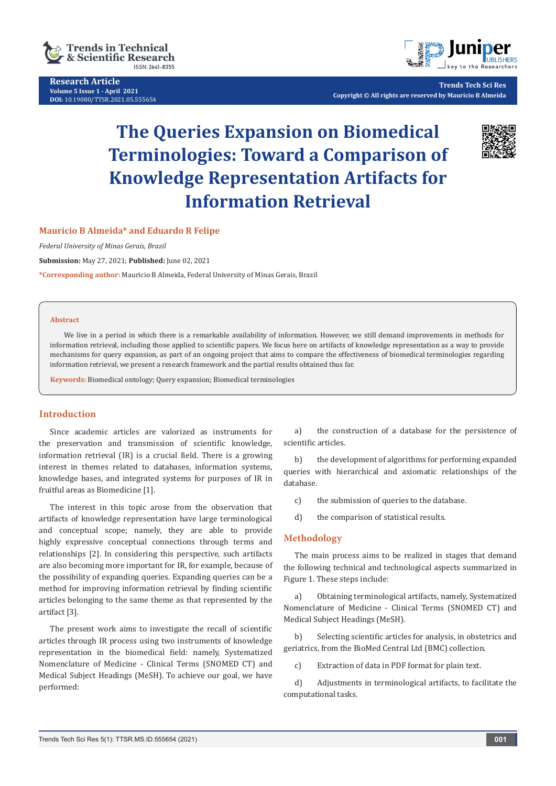

**Research Article Volume 5 Issue 1 - April 2021 DOI:** [10.19080/TTSR.2021.05.55565](http://dx.doi.org/10.19080/TTSR.2021.05.555654)4



**Trends Tech Sci Res Copyright © All rights are reserved by Mauricio B Almeida**

# **The Queries Expansion on Biomedical Terminologies: Toward a Comparison of Knowledge Representation Artifacts for Information Retrieval**



#### **Mauricio B Almeida\* and Eduardo R Felipe**

*Federal University of Minas Gerais, Brazil*

**Submission:** May 27, 2021; **Published:** June 02, 2021

**\*Corresponding author:** Mauricio B Almeida, Federal University of Minas Gerais, Brazil

#### **Abstract**

We live in a period in which there is a remarkable availability of information. However, we still demand improvements in methods for information retrieval, including those applied to scientific papers. We focus here on artifacts of knowledge representation as a way to provide mechanisms for query expansion, as part of an ongoing project that aims to compare the effectiveness of biomedical terminologies regarding information retrieval, we present a research framework and the partial results obtained thus far.

**Keywords:** Biomedical ontology; Query expansion; Biomedical terminologies

### **Introduction**

Since academic articles are valorized as instruments for the preservation and transmission of scientific knowledge, information retrieval (IR) is a crucial field. There is a growing interest in themes related to databases, information systems, knowledge bases, and integrated systems for purposes of IR in fruitful areas as Biomedicine [1].

The interest in this topic arose from the observation that artifacts of knowledge representation have large terminological and conceptual scope; namely, they are able to provide highly expressive conceptual connections through terms and relationships [2]. In considering this perspective, such artifacts are also becoming more important for IR, for example, because of the possibility of expanding queries. Expanding queries can be a method for improving information retrieval by finding scientific articles belonging to the same theme as that represented by the artifact [3].

The present work aims to investigate the recall of scientific articles through IR process using two instruments of knowledge representation in the biomedical field: namely, Systematized Nomenclature of Medicine - Clinical Terms (SNOMED CT) and Medical Subject Headings (MeSH). To achieve our goal, we have performed:

a) the construction of a database for the persistence of scientific articles.

b) the development of algorithms for performing expanded queries with hierarchical and axiomatic relationships of the database.

c) the submission of queries to the database.

d) the comparison of statistical results.

#### **Methodology**

The main process aims to be realized in stages that demand the following technical and technological aspects summarized in Figure 1. These steps include:

a) Obtaining terminological artifacts, namely, Systematized Nomenclature of Medicine - Clinical Terms (SNOMED CT) and Medical Subject Headings (MeSH).

b) Selecting scientific articles for analysis, in obstetrics and geriatrics, from the BioMed Central Ltd (BMC) collection.

c) Extraction of data in PDF format for plain text.

d) Adjustments in terminological artifacts, to facilitate the computational tasks.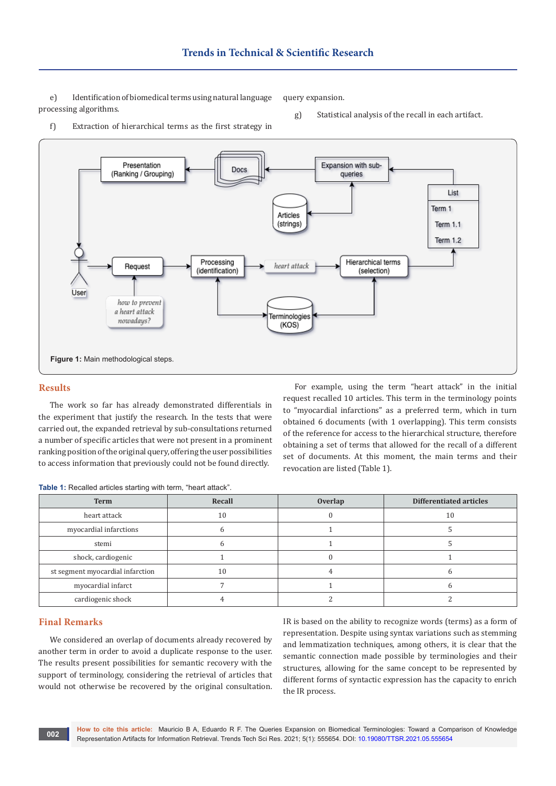e) Identification of biomedical terms using natural language processing algorithms.

query expansion.

g) Statistical analysis of the recall in each artifact.





#### **Results**

The work so far has already demonstrated differentials in the experiment that justify the research. In the tests that were carried out, the expanded retrieval by sub-consultations returned a number of specific articles that were not present in a prominent ranking position of the original query, offering the user possibilities to access information that previously could not be found directly.

For example, using the term "heart attack" in the initial request recalled 10 articles. This term in the terminology points to "myocardial infarctions" as a preferred term, which in turn obtained 6 documents (with 1 overlapping). This term consists of the reference for access to the hierarchical structure, therefore obtaining a set of terms that allowed for the recall of a different set of documents. At this moment, the main terms and their revocation are listed (Table 1).

| Table 1: Recalled articles starting with term, "heart attack". |  |  |
|----------------------------------------------------------------|--|--|
|----------------------------------------------------------------|--|--|

| <b>Term</b>                      | Recall | Overlap | <b>Differentiated articles</b> |
|----------------------------------|--------|---------|--------------------------------|
| heart attack                     | 10     |         | 10                             |
| myocardial infarctions           |        |         |                                |
| stemi                            |        |         |                                |
| shock, cardiogenic               |        |         |                                |
| st segment myocardial infarction | 10     |         |                                |
| myocardial infarct               |        |         |                                |
| cardiogenic shock                |        |         |                                |

#### **Final Remarks**

We considered an overlap of documents already recovered by another term in order to avoid a duplicate response to the user. The results present possibilities for semantic recovery with the support of terminology, considering the retrieval of articles that would not otherwise be recovered by the original consultation.

IR is based on the ability to recognize words (terms) as a form of representation. Despite using syntax variations such as stemming and lemmatization techniques, among others, it is clear that the semantic connection made possible by terminologies and their structures, allowing for the same concept to be represented by different forms of syntactic expression has the capacity to enrich the IR process.